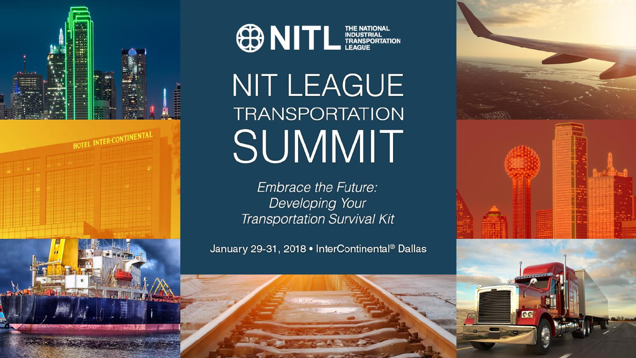



## NIT LEAGUE **TRANSPORTATION** SUMMIT

**Embrace the Future:** Developing Your **Transportation Survival Kit** 

January 29-31, 2018 • InterContinental® Dallas

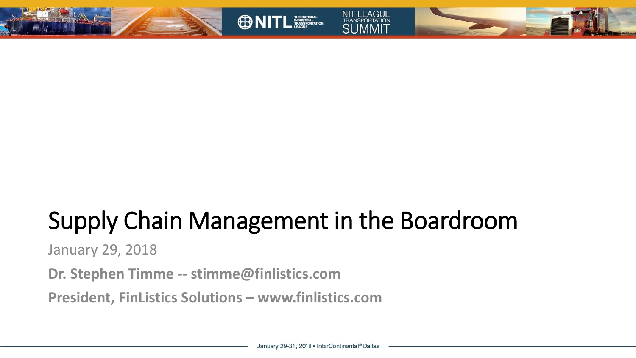

## Supply Chain Management in the Boardroom

**ONITL ESSEAN** 

January 29, 2018

**Dr. Stephen Timme -- stimme@finlistics.com**

**President, FinListics Solutions – www.finlistics.com**

**NIT LEAGUE**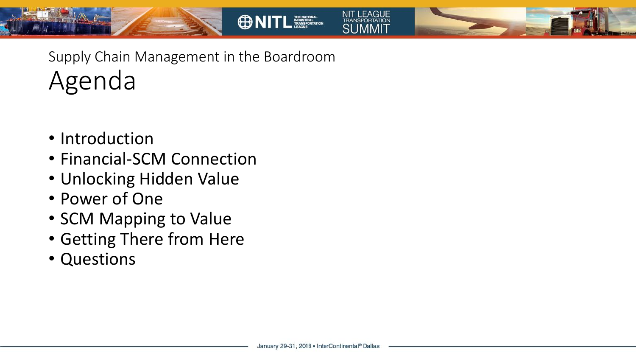

- Introduction
- Financial-SCM Connection
- Unlocking Hidden Value
- Power of One
- SCM Mapping to Value
- Getting There from Here
- Questions

**NIT LEAGUE** 

**ONITL ESSEAN**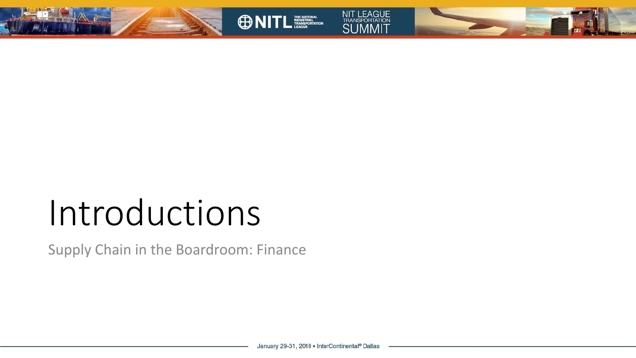







# Introductions

Supply Chain in the Boardroom: Finance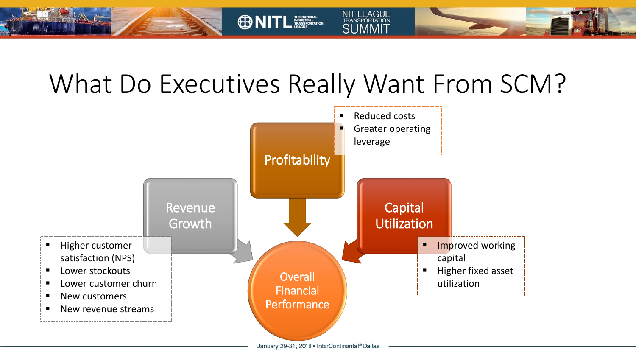## What Do Executives Really Want From SCM?

**ONITL ESSEAN** 

NIT LEAGUE<br>TRANSPORTATION<br>SUMMIT

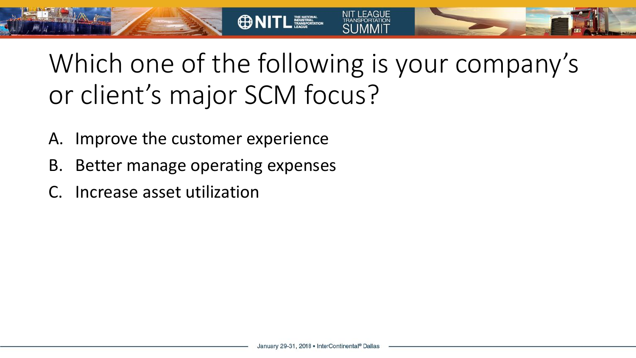Which one of the following is your company's or client's major SCM focus?

**ONITL ESSERIT** 

- A. Improve the customer experience
- B. Better manage operating expenses
- C. Increase asset utilization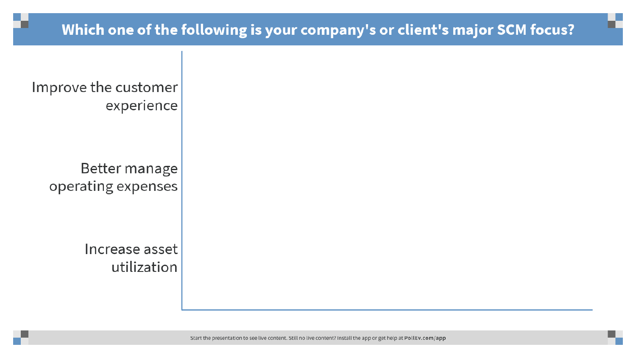Improve the customer experience

> Better manage operating expenses

> > Increase asset utilization

> > > Start the presentation to see live content. Still no live content? Install the app or get help at PollEv.com/app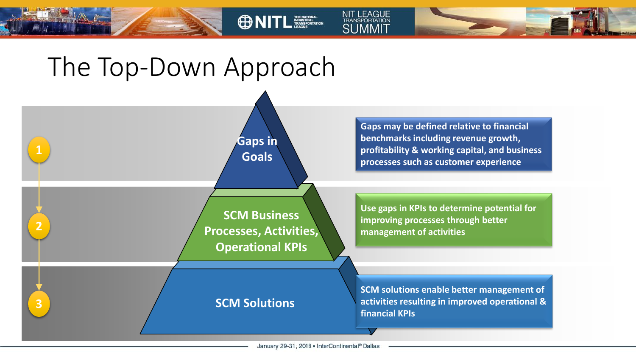



**ONITL TELECTION** 

**NIT LEAGUE** 

TRANSPORTATION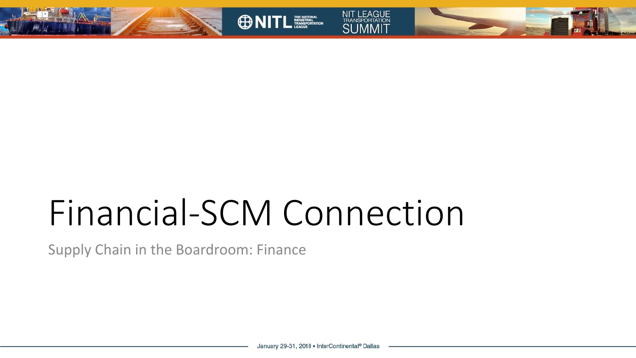







# Financial-SCM Connection

Supply Chain in the Boardroom: Finance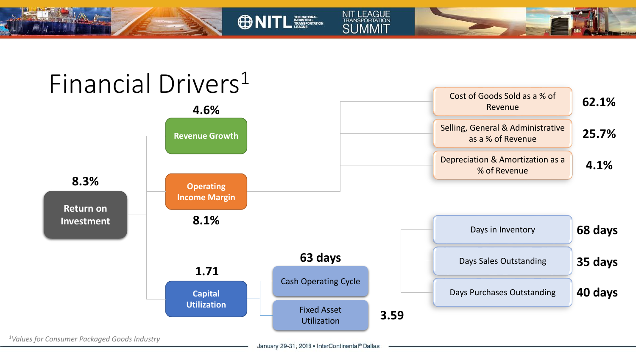

**ONITL TELECTION** 

NIT LEAGUE<br>TRANSPORTATION<br>SUMMIT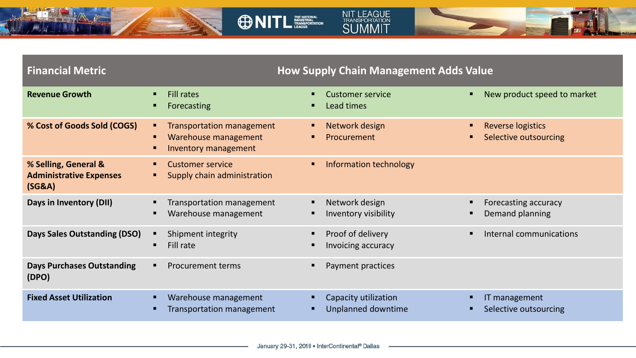![](_page_10_Picture_0.jpeg)

![](_page_10_Picture_1.jpeg)

![](_page_10_Picture_2.jpeg)

#### **Financial Metric How Supply Chain Management Adds Value Revenue Growth Example 20** Fill rates **Forecasting** Customer service Lead times ■ New product speed to market **% Cost of Goods Sold (COGS)** ▪ Transportation management ■ Warehouse management Inventory management ■ Network design **Procurement** ■ Reverse logistics Selective outsourcing **% Selling, General & Administrative Expenses (SG&A)** Customer service ■ Supply chain administration ■ Information technology **Days in Inventory (DII) Transportation management** ■ Warehouse management Network design Inventory visibility **EXEC** Forecasting accuracy **Demand planning Days Sales Outstanding (DSO)** ▪ Shipment integrity Fill rate Proof of delivery Invoicing accuracy ■ Internal communications **Days Purchases Outstanding (DPO)** ■ Procurement terms ■ Payment practices **Fixed Asset Utilization ■** Warehouse management **Transportation management** Capacity utilization Unplanned downtime IT management Selective outsourcing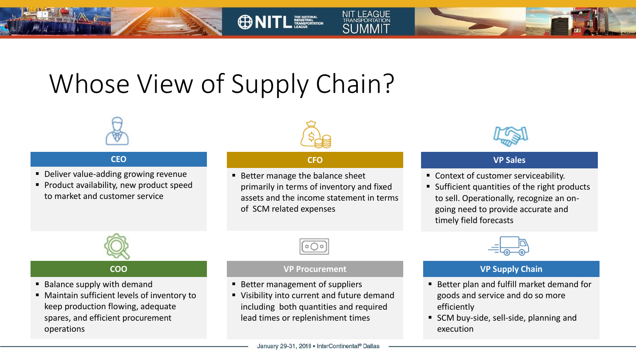## Whose View of Supply Chain?

![](_page_11_Picture_1.jpeg)

#### **CEO**

- Deliver value-adding growing revenue
- **Product availability, new product speed** to market and customer service

![](_page_11_Picture_5.jpeg)

**ONITL ESSERIT** 

**NIT LEAGUE** 

**TRANSPORTATION SLIMMIT** 

#### **CFO**

■ Better manage the balance sheet primarily in terms of inventory and fixed assets and the income statement in terms of SCM related expenses

![](_page_11_Picture_8.jpeg)

#### **VP Sales**

- Context of customer serviceability.
- Sufficient quantities of the right products to sell. Operationally, recognize an ongoing need to provide accurate and timely field forecasts

![](_page_11_Picture_12.jpeg)

#### **COO**

- Balance supply with demand
- Maintain sufficient levels of inventory to keep production flowing, adequate spares, and efficient procurement operations

![](_page_11_Picture_16.jpeg)

#### **VP Procurement**

- Better management of suppliers
- Visibility into current and future demand including both quantities and required lead times or replenishment times

![](_page_11_Picture_20.jpeg)

#### **VP Supply Chain**

- Better plan and fulfill market demand for goods and service and do so more efficiently
- SCM buy-side, sell-side, planning and execution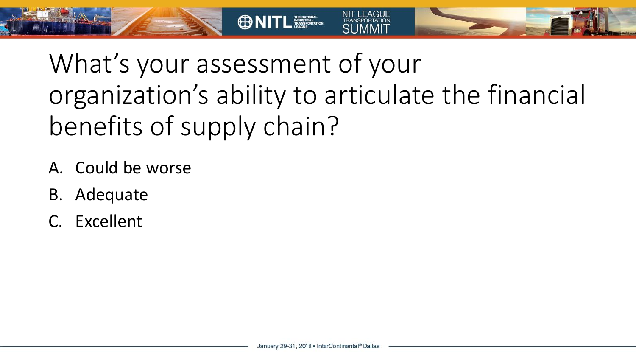What's your assessment of your organization's ability to articulate the financial benefits of supply chain?

**ONITL ESSERIT** 

- A. Could be worse
- B. Adequate
- C. Excellent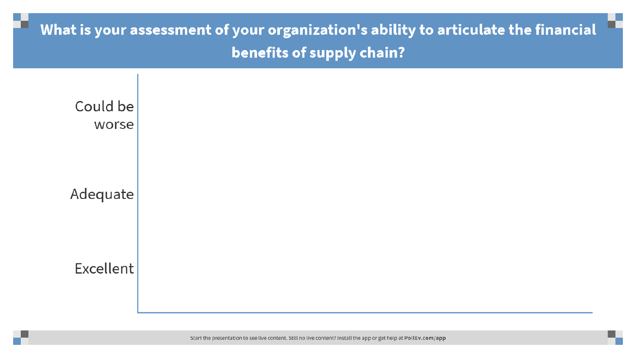### What is your assessment of your organization's ability to articulate the financial benefits of supply chain?

![](_page_13_Figure_1.jpeg)

Start the presentation to see live content. Still no live content? Install the app or get help at PollEv.com/app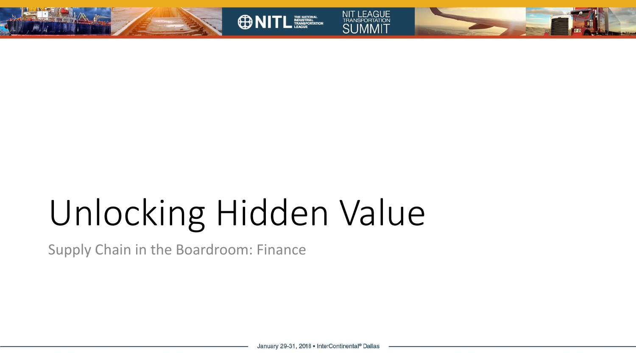![](_page_14_Picture_0.jpeg)

![](_page_14_Picture_1.jpeg)

![](_page_14_Picture_2.jpeg)

![](_page_14_Picture_3.jpeg)

# Unlocking Hidden Value

Supply Chain in the Boardroom: Finance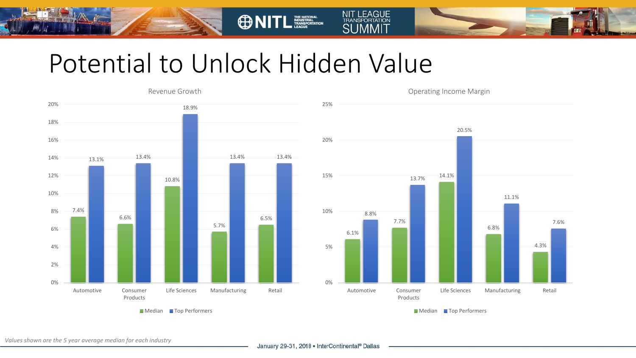## Potential to Unlock Hidden Value

**ONITL** 

![](_page_15_Figure_1.jpeg)

![](_page_15_Figure_2.jpeg)

Operating Income Margin

**NIT LEAGUE** 

TRANSPORTATION **SUMMIT** 

*Values shown are the 5 year average median for each industry*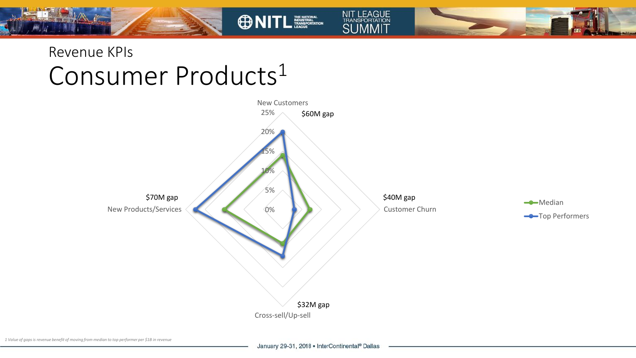### Revenue KPIs Consumer Products<sup>1</sup>

![](_page_16_Figure_1.jpeg)

NIT LEAGUE<br>TRANSPORTATION<br>SUMMIT

**ONITL FOR THE STATE**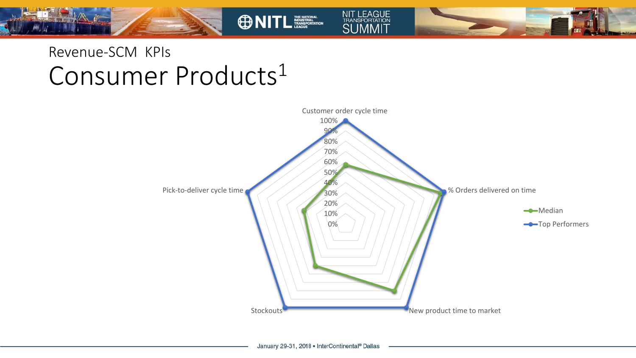### Revenue-SCM KPIs Consumer Products<sup>1</sup>

![](_page_17_Figure_1.jpeg)

NIT LEAGUE<br>TRANSPORTATION<br>SUMMIT

**ONITL**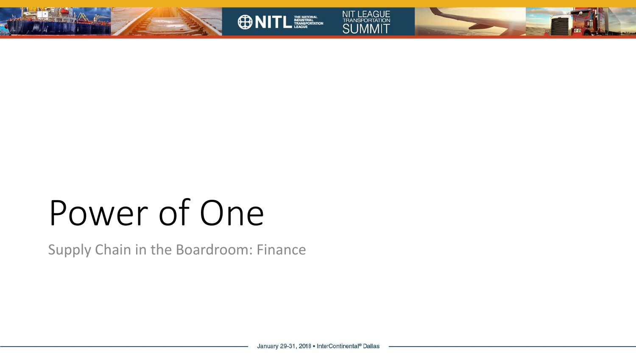![](_page_18_Picture_0.jpeg)

![](_page_18_Picture_1.jpeg)

Supply Chain in the Boardroom: Finance

NIT LEAGUE<br>TRANSPORTATION<br>SUMMIT

**ONITL ENDING:**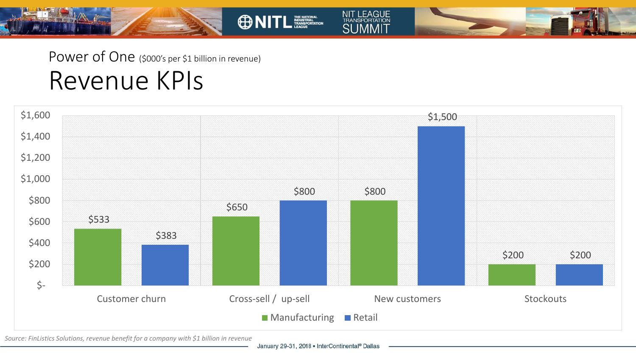![](_page_19_Picture_0.jpeg)

![](_page_19_Figure_1.jpeg)

**ONITL** 

NIT LEAGUE<br>TRANSPORTATION<br>SUMMIT

*Source: FinListics Solutions, revenue benefit for a company with \$1 billion in revenue*

January 29-31, 2018 . InterContinental® Dallas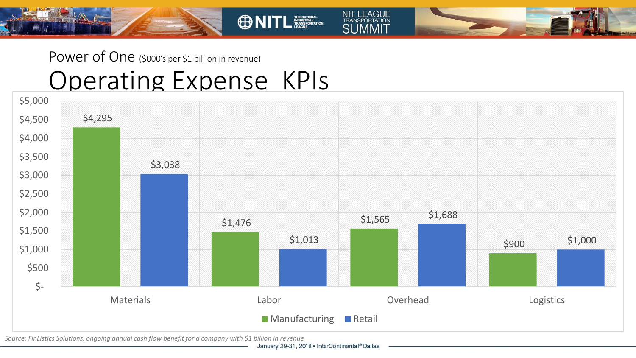### Power of One (\$000's per \$1 billion in revenue) Operating Expense KPIs

![](_page_20_Figure_1.jpeg)

**ONITL EXECUTER** 

**NIT LEAGUE** 

**TRANSPORTATION SUMMIT** 

*Source: FinListics Solutions, ongoing annual cash flow benefit for a company with \$1 billion in revenue*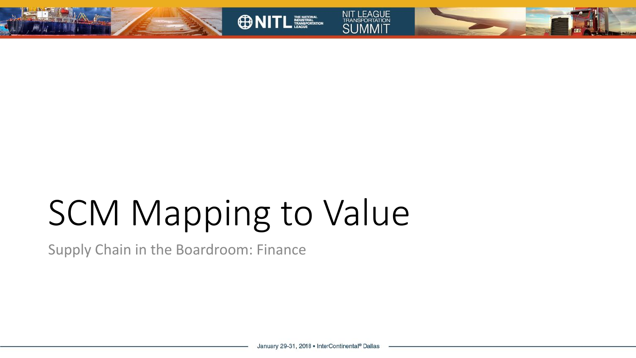![](_page_21_Picture_0.jpeg)

![](_page_21_Picture_1.jpeg)

![](_page_21_Picture_2.jpeg)

![](_page_21_Picture_3.jpeg)

# SCM Mapping to Value

Supply Chain in the Boardroom: Finance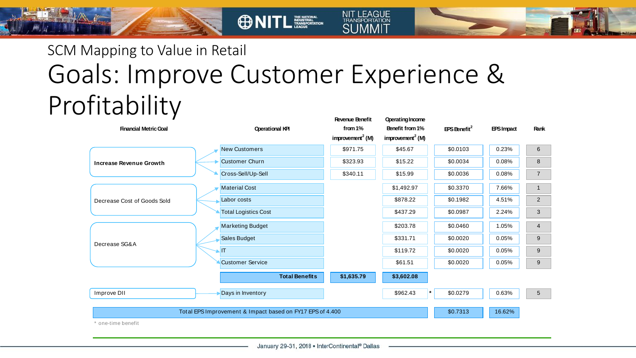### SCM Mapping to Value in Retail Goals: Improve Customer Experience & Profitability **Revenue Benefit Operating Income**

**ONITL ESSENTIAL** 

| <b>Financial Metric Goal</b>                                                    |  | <b>Operational KPI</b>      |                       | from 1%<br>improvement <sup>2</sup> (M) | Benefit from 1%<br>improvement <sup>2</sup> (M) | $EPS$ Benefit <sup>2</sup> | <b>EPSImpact</b> | <b>Rank</b>     |
|---------------------------------------------------------------------------------|--|-----------------------------|-----------------------|-----------------------------------------|-------------------------------------------------|----------------------------|------------------|-----------------|
| <b>Increase Revenue Growth</b>                                                  |  | <b>New Customers</b>        |                       | \$971.75                                | \$45.67                                         | \$0.0103                   | 0.23%            | 6               |
|                                                                                 |  | <b>Customer Churn</b>       |                       | \$323.93                                | \$15.22                                         | \$0.0034                   | 0.08%            | 8               |
|                                                                                 |  | Cross-Sell/Up-Sell          |                       | \$340.11                                | \$15.99                                         | \$0.0036                   | 0.08%            | $\overline{7}$  |
| Decrease Cost of Goods Sold                                                     |  | <b>Material Cost</b>        |                       |                                         | \$1,492.97                                      | \$0.3370                   | 7.66%            | 1               |
|                                                                                 |  | Labor costs                 |                       |                                         | \$878.22                                        | \$0.1982                   | 4.51%            | $\overline{2}$  |
|                                                                                 |  | <b>Total Logistics Cost</b> |                       |                                         | \$437.29                                        | \$0.0987                   | 2.24%            | 3               |
| Decrease SG&A                                                                   |  | <b>Marketing Budget</b>     |                       |                                         | \$203.78                                        | \$0.0460                   | 1.05%            | $\overline{4}$  |
|                                                                                 |  | Sales Budget                |                       |                                         | \$331.71                                        | \$0.0020                   | 0.05%            | 9               |
|                                                                                 |  | IT                          |                       |                                         | \$119.72                                        | \$0.0020                   | 0.05%            | 9               |
|                                                                                 |  | <b>Customer Service</b>     |                       |                                         | \$61.51                                         | \$0.0020                   | 0.05%            | 9               |
|                                                                                 |  |                             | <b>Total Benefits</b> | \$1,635.79                              | \$3,602.08                                      |                            |                  |                 |
| Improve DII                                                                     |  | Days in Inventory           |                       |                                         | \$962.43                                        | \$0.0279                   | 0.63%            | $5\overline{)}$ |
| Total EPS Improvement & Impact based on FY17 EPS of 4.400<br>* one-time benefit |  |                             |                       |                                         |                                                 | \$0.7313                   | 16.62%           |                 |
|                                                                                 |  |                             |                       |                                         |                                                 |                            |                  |                 |

**NIT LEAGUE** 

TRANSPORTATION **SLIMMIT**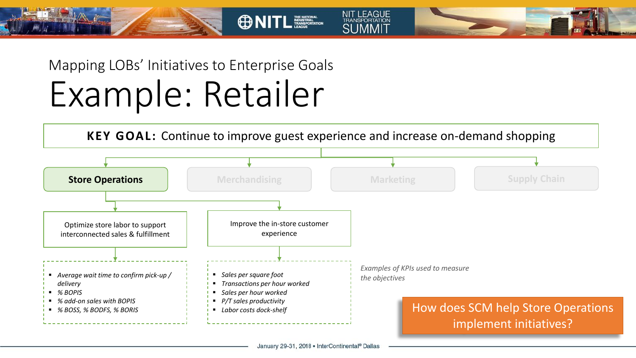Mapping LOBs' Initiatives to Enterprise Goals Example: Retailer

![](_page_23_Figure_1.jpeg)

**ONITL ESSEPTION** 

**NIT LEAGUE** 

**TRANSPORTATION SLIMMIT** 

January 29-31, 2018 . InterContinental® Dallas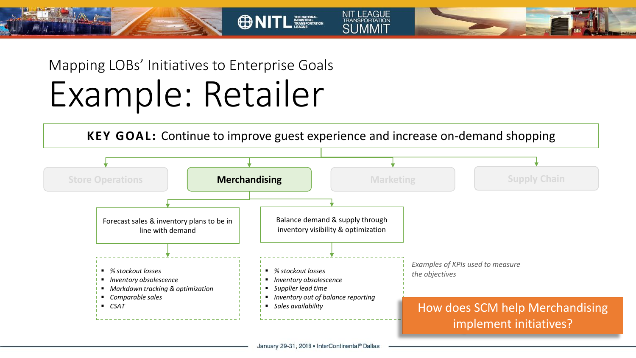Mapping LOBs' Initiatives to Enterprise Goals Example: Retailer

![](_page_24_Figure_1.jpeg)

**ONITL ESSERIT** 

**NIT LEAGUE** 

TRANSPORTATION **SLIMMIT**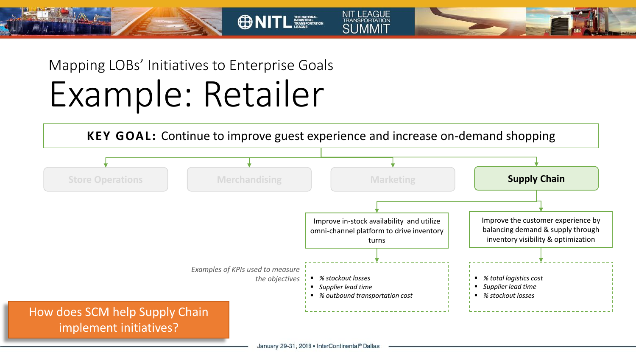Mapping LOBs' Initiatives to Enterprise Goals Example: Retailer

![](_page_25_Figure_1.jpeg)

**NIT LEAGUE** 

TRANSPORTATION **SLIMMIT** 

**ONITL ESSERIT**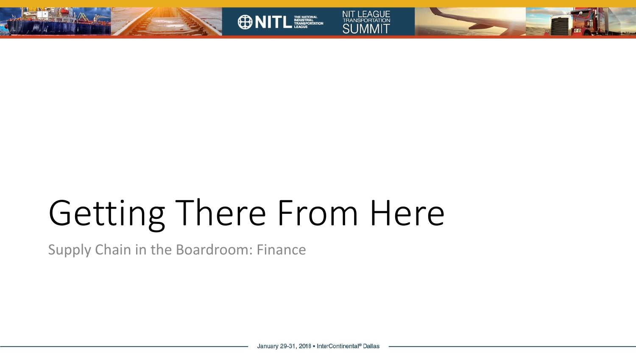![](_page_26_Picture_0.jpeg)

![](_page_26_Picture_1.jpeg)

![](_page_26_Picture_2.jpeg)

![](_page_26_Picture_3.jpeg)

# Getting There From Here

Supply Chain in the Boardroom: Finance